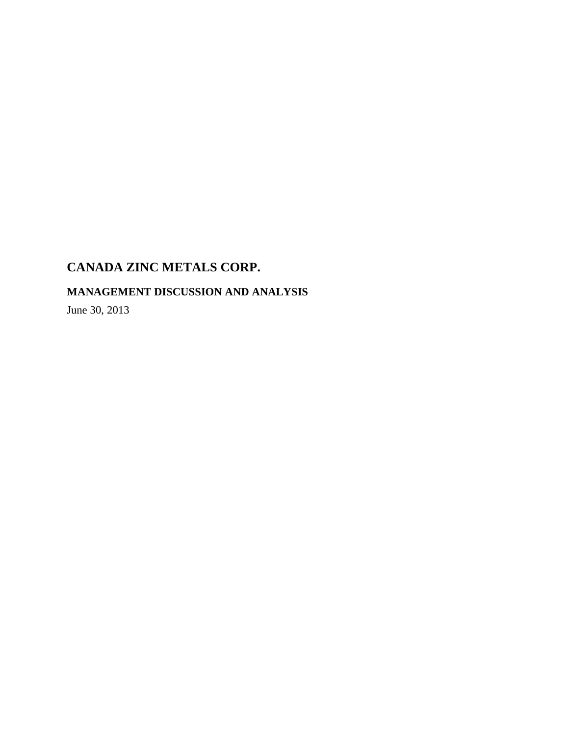**MANAGEMENT DISCUSSION AND ANALYSIS** 

June 30, 2013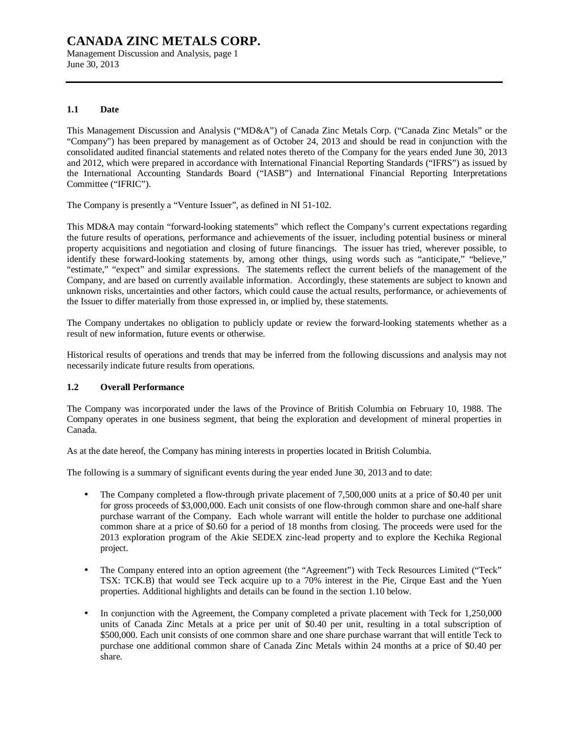Management Discussion and Analysis, page 1 June 30, 2013

### **1.1 Date**

This Management Discussion and Analysis ("MD&A") of Canada Zinc Metals Corp. ("Canada Zinc Metals" or the "Company") has been prepared by management as of October 24, 2013 and should be read in conjunction with the consolidated audited financial statements and related notes thereto of the Company for the years ended June 30, 2013 and 2012, which were prepared in accordance with International Financial Reporting Standards ("IFRS") as issued by the International Accounting Standards Board ("IASB") and International Financial Reporting Interpretations Committee ("IFRIC").

The Company is presently a "Venture Issuer", as defined in NI 51-102.

This MD&A may contain "forward-looking statements" which reflect the Company's current expectations regarding the future results of operations, performance and achievements of the issuer, including potential business or mineral property acquisitions and negotiation and closing of future financings. The issuer has tried, wherever possible, to identify these forward-looking statements by, among other things, using words such as "anticipate," "believe," "estimate," "expect" and similar expressions. The statements reflect the current beliefs of the management of the Company, and are based on currently available information. Accordingly, these statements are subject to known and unknown risks, uncertainties and other factors, which could cause the actual results, performance, or achievements of the Issuer to differ materially from those expressed in, or implied by, these statements.

The Company undertakes no obligation to publicly update or review the forward-looking statements whether as a result of new information, future events or otherwise.

Historical results of operations and trends that may be inferred from the following discussions and analysis may not necessarily indicate future results from operations.

### **1.2 Overall Performance**

The Company was incorporated under the laws of the Province of British Columbia on February 10, 1988. The Company operates in one business segment, that being the exploration and development of mineral properties in Canada.

As at the date hereof, the Company has mining interests in properties located in British Columbia.

The following is a summary of significant events during the year ended June 30, 2013 and to date:

- The Company completed a flow-through private placement of 7,500,000 units at a price of \$0.40 per unit for gross proceeds of \$3,000,000. Each unit consists of one flow-through common share and one-half share purchase warrant of the Company. Each whole warrant will entitle the holder to purchase one additional common share at a price of \$0.60 for a period of 18 months from closing. The proceeds were used for the 2013 exploration program of the Akie SEDEX zinc-lead property and to explore the Kechika Regional project.
- The Company entered into an option agreement (the "Agreement") with Teck Resources Limited ("Teck" TSX: TCK.B) that would see Teck acquire up to a 70% interest in the Pie, Cirque East and the Yuen properties. Additional highlights and details can be found in the section 1.10 below.
- In conjunction with the Agreement, the Company completed a private placement with Teck for 1,250,000 units of Canada Zinc Metals at a price per unit of \$0.40 per unit, resulting in a total subscription of \$500,000. Each unit consists of one common share and one share purchase warrant that will entitle Teck to purchase one additional common share of Canada Zinc Metals within 24 months at a price of \$0.40 per share.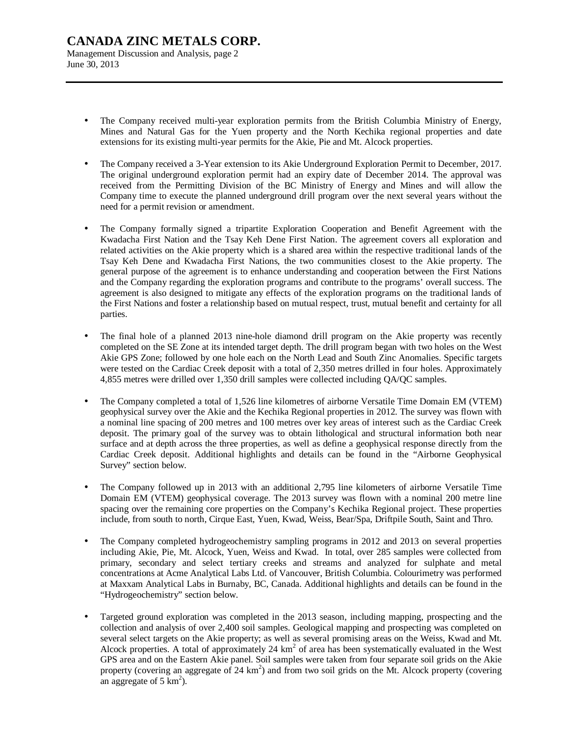# **CANADA ZINC METALS CORP.**  Management Discussion and Analysis, page 2 June 30, 2013

- The Company received multi-year exploration permits from the British Columbia Ministry of Energy, Mines and Natural Gas for the Yuen property and the North Kechika regional properties and date extensions for its existing multi-year permits for the Akie, Pie and Mt. Alcock properties.
- The Company received a 3-Year extension to its Akie Underground Exploration Permit to December, 2017. The original underground exploration permit had an expiry date of December 2014. The approval was received from the Permitting Division of the BC Ministry of Energy and Mines and will allow the Company time to execute the planned underground drill program over the next several years without the need for a permit revision or amendment.
- The Company formally signed a tripartite Exploration Cooperation and Benefit Agreement with the Kwadacha First Nation and the Tsay Keh Dene First Nation. The agreement covers all exploration and related activities on the Akie property which is a shared area within the respective traditional lands of the Tsay Keh Dene and Kwadacha First Nations, the two communities closest to the Akie property. The general purpose of the agreement is to enhance understanding and cooperation between the First Nations and the Company regarding the exploration programs and contribute to the programs' overall success. The agreement is also designed to mitigate any effects of the exploration programs on the traditional lands of the First Nations and foster a relationship based on mutual respect, trust, mutual benefit and certainty for all parties.
- The final hole of a planned 2013 nine-hole diamond drill program on the Akie property was recently completed on the SE Zone at its intended target depth. The drill program began with two holes on the West Akie GPS Zone; followed by one hole each on the North Lead and South Zinc Anomalies. Specific targets were tested on the Cardiac Creek deposit with a total of 2,350 metres drilled in four holes. Approximately 4,855 metres were drilled over 1,350 drill samples were collected including QA/QC samples.
- The Company completed a total of 1,526 line kilometres of airborne Versatile Time Domain EM (VTEM) geophysical survey over the Akie and the Kechika Regional properties in 2012. The survey was flown with a nominal line spacing of 200 metres and 100 metres over key areas of interest such as the Cardiac Creek deposit. The primary goal of the survey was to obtain lithological and structural information both near surface and at depth across the three properties, as well as define a geophysical response directly from the Cardiac Creek deposit. Additional highlights and details can be found in the "Airborne Geophysical Survey" section below.
- The Company followed up in 2013 with an additional 2,795 line kilometers of airborne Versatile Time Domain EM (VTEM) geophysical coverage. The 2013 survey was flown with a nominal 200 metre line spacing over the remaining core properties on the Company's Kechika Regional project. These properties include, from south to north, Cirque East, Yuen, Kwad, Weiss, Bear/Spa, Driftpile South, Saint and Thro.
- The Company completed hydrogeochemistry sampling programs in 2012 and 2013 on several properties including Akie, Pie, Mt. Alcock, Yuen, Weiss and Kwad. In total, over 285 samples were collected from primary, secondary and select tertiary creeks and streams and analyzed for sulphate and metal concentrations at Acme Analytical Labs Ltd. of Vancouver, British Columbia. Colourimetry was performed at Maxxam Analytical Labs in Burnaby, BC, Canada. Additional highlights and details can be found in the "Hydrogeochemistry" section below.
- Targeted ground exploration was completed in the 2013 season, including mapping, prospecting and the collection and analysis of over 2,400 soil samples. Geological mapping and prospecting was completed on several select targets on the Akie property; as well as several promising areas on the Weiss, Kwad and Mt. Alcock properties. A total of approximately 24  $km<sup>2</sup>$  of area has been systematically evaluated in the West GPS area and on the Eastern Akie panel. Soil samples were taken from four separate soil grids on the Akie property (covering an aggregate of  $24 \text{ km}^2$ ) and from two soil grids on the Mt. Alcock property (covering an aggregate of  $5 \text{ km}^2$ ).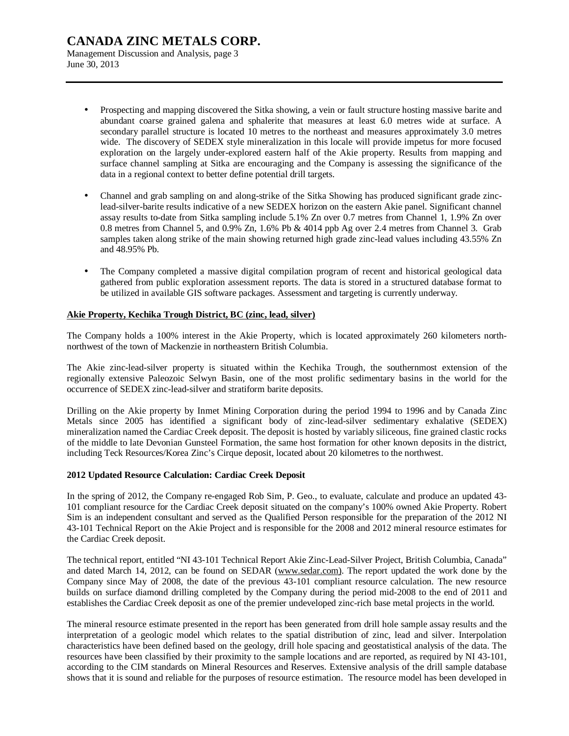Management Discussion and Analysis, page 3 June 30, 2013

- Prospecting and mapping discovered the Sitka showing, a vein or fault structure hosting massive barite and abundant coarse grained galena and sphalerite that measures at least 6.0 metres wide at surface. A secondary parallel structure is located 10 metres to the northeast and measures approximately 3.0 metres wide. The discovery of SEDEX style mineralization in this locale will provide impetus for more focused exploration on the largely under-explored eastern half of the Akie property. Results from mapping and surface channel sampling at Sitka are encouraging and the Company is assessing the significance of the data in a regional context to better define potential drill targets.
- Channel and grab sampling on and along-strike of the Sitka Showing has produced significant grade zinclead-silver-barite results indicative of a new SEDEX horizon on the eastern Akie panel. Significant channel assay results to-date from Sitka sampling include 5.1% Zn over 0.7 metres from Channel 1, 1.9% Zn over 0.8 metres from Channel 5, and 0.9% Zn, 1.6% Pb & 4014 ppb Ag over 2.4 metres from Channel 3. Grab samples taken along strike of the main showing returned high grade zinc-lead values including 43.55% Zn and 48.95% Pb.
- The Company completed a massive digital compilation program of recent and historical geological data gathered from public exploration assessment reports. The data is stored in a structured database format to be utilized in available GIS software packages. Assessment and targeting is currently underway.

### **Akie Property, Kechika Trough District, BC (zinc, lead, silver)**

The Company holds a 100% interest in the Akie Property, which is located approximately 260 kilometers northnorthwest of the town of Mackenzie in northeastern British Columbia.

The Akie zinc-lead-silver property is situated within the Kechika Trough, the southernmost extension of the regionally extensive Paleozoic Selwyn Basin, one of the most prolific sedimentary basins in the world for the occurrence of SEDEX zinc-lead-silver and stratiform barite deposits.

Drilling on the Akie property by Inmet Mining Corporation during the period 1994 to 1996 and by Canada Zinc Metals since 2005 has identified a significant body of zinc-lead-silver sedimentary exhalative (SEDEX) mineralization named the Cardiac Creek deposit. The deposit is hosted by variably siliceous, fine grained clastic rocks of the middle to late Devonian Gunsteel Formation, the same host formation for other known deposits in the district, including Teck Resources/Korea Zinc's Cirque deposit, located about 20 kilometres to the northwest.

### **2012 Updated Resource Calculation: Cardiac Creek Deposit**

In the spring of 2012, the Company re-engaged Rob Sim, P. Geo., to evaluate, calculate and produce an updated 43- 101 compliant resource for the Cardiac Creek deposit situated on the company's 100% owned Akie Property. Robert Sim is an independent consultant and served as the Qualified Person responsible for the preparation of the 2012 NI 43-101 Technical Report on the Akie Project and is responsible for the 2008 and 2012 mineral resource estimates for the Cardiac Creek deposit.

The technical report, entitled "NI 43-101 Technical Report Akie Zinc-Lead-Silver Project, British Columbia, Canada" and dated March 14, 2012, can be found on SEDAR [\(www.sedar.com\).](http://www.sedar.com)) The report updated the work done by the Company since May of 2008, the date of the previous 43-101 compliant resource calculation. The new resource builds on surface diamond drilling completed by the Company during the period mid-2008 to the end of 2011 and establishes the Cardiac Creek deposit as one of the premier undeveloped zinc-rich base metal projects in the world.

The mineral resource estimate presented in the report has been generated from drill hole sample assay results and the interpretation of a geologic model which relates to the spatial distribution of zinc, lead and silver. Interpolation characteristics have been defined based on the geology, drill hole spacing and geostatistical analysis of the data. The resources have been classified by their proximity to the sample locations and are reported, as required by NI 43-101, according to the CIM standards on Mineral Resources and Reserves. Extensive analysis of the drill sample database shows that it is sound and reliable for the purposes of resource estimation. The resource model has been developed in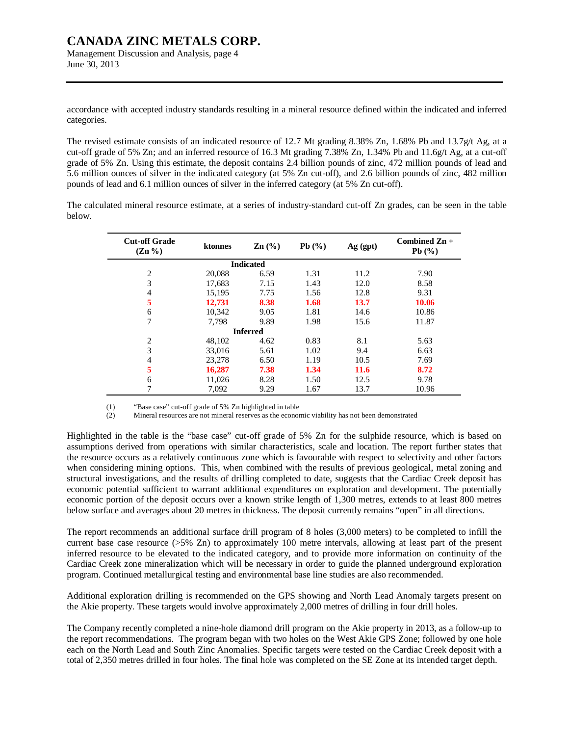Management Discussion and Analysis, page 4 June 30, 2013

accordance with accepted industry standards resulting in a mineral resource defined within the indicated and inferred categories.

The revised estimate consists of an indicated resource of 12.7 Mt grading 8.38% Zn, 1.68% Pb and 13.7g/t Ag, at a cut-off grade of 5% Zn; and an inferred resource of 16.3 Mt grading 7.38% Zn, 1.34% Pb and 11.6g/t Ag, at a cut-off grade of 5% Zn. Using this estimate, the deposit contains 2.4 billion pounds of zinc, 472 million pounds of lead and 5.6 million ounces of silver in the indicated category (at 5% Zn cut-off), and 2.6 billion pounds of zinc, 482 million pounds of lead and 6.1 million ounces of silver in the inferred category (at 5% Zn cut-off).

The calculated mineral resource estimate, at a series of industry-standard cut-off Zn grades, can be seen in the table below.

| <b>Cut-off Grade</b><br>$(Zn\% )$ | ktonnes | $\text{Zn}$ $\left(\frac{9}{6}\right)$ | Pb $(\%)$ | $Ag$ (gpt) | Combined $\mathbb{Z}n +$<br>Pb(%) |
|-----------------------------------|---------|----------------------------------------|-----------|------------|-----------------------------------|
|                                   |         | <b>Indicated</b>                       |           |            |                                   |
| $\overline{2}$                    | 20,088  | 6.59                                   | 1.31      | 11.2       | 7.90                              |
| 3                                 | 17,683  | 7.15                                   | 1.43      | 12.0       | 8.58                              |
| $\overline{4}$                    | 15,195  | 7.75                                   | 1.56      | 12.8       | 9.31                              |
| 5                                 | 12,731  | 8.38                                   | 1.68      | 13.7       | 10.06                             |
| 6                                 | 10,342  | 9.05                                   | 1.81      | 14.6       | 10.86                             |
| $\overline{7}$                    | 7.798   | 9.89                                   | 1.98      | 15.6       | 11.87                             |
|                                   |         | <b>Inferred</b>                        |           |            |                                   |
| $\overline{2}$                    | 48,102  | 4.62                                   | 0.83      | 8.1        | 5.63                              |
| 3                                 | 33,016  | 5.61                                   | 1.02      | 9.4        | 6.63                              |
| $\overline{4}$                    | 23,278  | 6.50                                   | 1.19      | 10.5       | 7.69                              |
| 5                                 | 16,287  | 7.38                                   | 1.34      | 11.6       | 8.72                              |
| 6                                 | 11,026  | 8.28                                   | 1.50      | 12.5       | 9.78                              |
| 7                                 | 7.092   | 9.29                                   | 1.67      | 13.7       | 10.96                             |

(1) "Base case" cut-off grade of 5% Zn highlighted in table

(2) Mineral resources are not mineral reserves as the economic viability has not been demonstrated

Highlighted in the table is the "base case" cut-off grade of 5% Zn for the sulphide resource, which is based on assumptions derived from operations with similar characteristics, scale and location. The report further states that the resource occurs as a relatively continuous zone which is favourable with respect to selectivity and other factors when considering mining options. This, when combined with the results of previous geological, metal zoning and structural investigations, and the results of drilling completed to date, suggests that the Cardiac Creek deposit has economic potential sufficient to warrant additional expenditures on exploration and development. The potentially economic portion of the deposit occurs over a known strike length of 1,300 metres, extends to at least 800 metres below surface and averages about 20 metres in thickness. The deposit currently remains "open" in all directions.

The report recommends an additional surface drill program of 8 holes (3,000 meters) to be completed to infill the current base case resource (>5% Zn) to approximately 100 metre intervals, allowing at least part of the present inferred resource to be elevated to the indicated category, and to provide more information on continuity of the Cardiac Creek zone mineralization which will be necessary in order to guide the planned underground exploration program. Continued metallurgical testing and environmental base line studies are also recommended.

Additional exploration drilling is recommended on the GPS showing and North Lead Anomaly targets present on the Akie property. These targets would involve approximately 2,000 metres of drilling in four drill holes.

The Company recently completed a nine-hole diamond drill program on the Akie property in 2013, as a follow-up to the report recommendations. The program began with two holes on the West Akie GPS Zone; followed by one hole each on the North Lead and South Zinc Anomalies. Specific targets were tested on the Cardiac Creek deposit with a total of 2,350 metres drilled in four holes. The final hole was completed on the SE Zone at its intended target depth.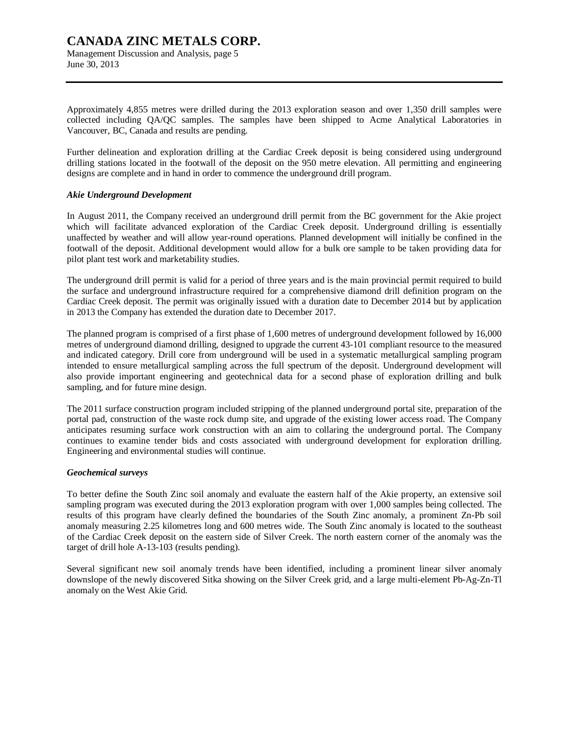Management Discussion and Analysis, page 5 June 30, 2013

Approximately 4,855 metres were drilled during the 2013 exploration season and over 1,350 drill samples were collected including QA/QC samples. The samples have been shipped to Acme Analytical Laboratories in Vancouver, BC, Canada and results are pending.

Further delineation and exploration drilling at the Cardiac Creek deposit is being considered using underground drilling stations located in the footwall of the deposit on the 950 metre elevation. All permitting and engineering designs are complete and in hand in order to commence the underground drill program.

#### *Akie Underground Development*

In August 2011, the Company received an underground drill permit from the BC government for the Akie project which will facilitate advanced exploration of the Cardiac Creek deposit. Underground drilling is essentially unaffected by weather and will allow year-round operations. Planned development will initially be confined in the footwall of the deposit. Additional development would allow for a bulk ore sample to be taken providing data for pilot plant test work and marketability studies.

The underground drill permit is valid for a period of three years and is the main provincial permit required to build the surface and underground infrastructure required for a comprehensive diamond drill definition program on the Cardiac Creek deposit. The permit was originally issued with a duration date to December 2014 but by application in 2013 the Company has extended the duration date to December 2017.

The planned program is comprised of a first phase of 1,600 metres of underground development followed by 16,000 metres of underground diamond drilling, designed to upgrade the current 43-101 compliant resource to the measured and indicated category. Drill core from underground will be used in a systematic metallurgical sampling program intended to ensure metallurgical sampling across the full spectrum of the deposit. Underground development will also provide important engineering and geotechnical data for a second phase of exploration drilling and bulk sampling, and for future mine design.

The 2011 surface construction program included stripping of the planned underground portal site, preparation of the portal pad, construction of the waste rock dump site, and upgrade of the existing lower access road. The Company anticipates resuming surface work construction with an aim to collaring the underground portal. The Company continues to examine tender bids and costs associated with underground development for exploration drilling. Engineering and environmental studies will continue.

### *Geochemical surveys*

To better define the South Zinc soil anomaly and evaluate the eastern half of the Akie property, an extensive soil sampling program was executed during the 2013 exploration program with over 1,000 samples being collected. The results of this program have clearly defined the boundaries of the South Zinc anomaly, a prominent Zn-Pb soil anomaly measuring 2.25 kilometres long and 600 metres wide. The South Zinc anomaly is located to the southeast of the Cardiac Creek deposit on the eastern side of Silver Creek. The north eastern corner of the anomaly was the target of drill hole A-13-103 (results pending).

Several significant new soil anomaly trends have been identified, including a prominent linear silver anomaly downslope of the newly discovered Sitka showing on the Silver Creek grid, and a large multi-element Pb-Ag-Zn-Tl anomaly on the West Akie Grid.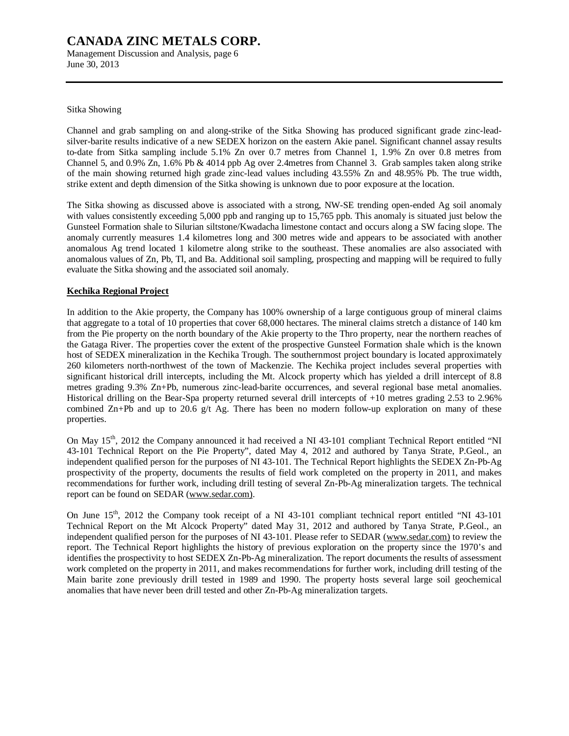Management Discussion and Analysis, page 6 June 30, 2013

Sitka Showing

Channel and grab sampling on and along-strike of the Sitka Showing has produced significant grade zinc-leadsilver-barite results indicative of a new SEDEX horizon on the eastern Akie panel. Significant channel assay results to-date from Sitka sampling include 5.1% Zn over 0.7 metres from Channel 1, 1.9% Zn over 0.8 metres from Channel 5, and 0.9% Zn, 1.6% Pb & 4014 ppb Ag over 2.4metres from Channel 3. Grab samples taken along strike of the main showing returned high grade zinc-lead values including 43.55% Zn and 48.95% Pb. The true width, strike extent and depth dimension of the Sitka showing is unknown due to poor exposure at the location.

The Sitka showing as discussed above is associated with a strong, NW-SE trending open-ended Ag soil anomaly with values consistently exceeding 5,000 ppb and ranging up to 15,765 ppb. This anomaly is situated just below the Gunsteel Formation shale to Silurian siltstone/Kwadacha limestone contact and occurs along a SW facing slope. The anomaly currently measures 1.4 kilometres long and 300 metres wide and appears to be associated with another anomalous Ag trend located 1 kilometre along strike to the southeast. These anomalies are also associated with anomalous values of Zn, Pb, Tl, and Ba. Additional soil sampling, prospecting and mapping will be required to fully evaluate the Sitka showing and the associated soil anomaly.

# **Kechika Regional Project**

In addition to the Akie property, the Company has 100% ownership of a large contiguous group of mineral claims that aggregate to a total of 10 properties that cover 68,000 hectares. The mineral claims stretch a distance of 140 km from the Pie property on the north boundary of the Akie property to the Thro property, near the northern reaches of the Gataga River. The properties cover the extent of the prospective Gunsteel Formation shale which is the known host of SEDEX mineralization in the Kechika Trough. The southernmost project boundary is located approximately 260 kilometers north-northwest of the town of Mackenzie. The Kechika project includes several properties with significant historical drill intercepts, including the Mt. Alcock property which has yielded a drill intercept of 8.8 metres grading 9.3% Zn+Pb, numerous zinc-lead-barite occurrences, and several regional base metal anomalies. Historical drilling on the Bear-Spa property returned several drill intercepts of +10 metres grading 2.53 to 2.96% combined  $Zn+Pb$  and up to 20.6 g/t Ag. There has been no modern follow-up exploration on many of these properties.

On May 15<sup>th</sup>, 2012 the Company announced it had received a NI 43-101 compliant Technical Report entitled "NI 43-101 Technical Report on the Pie Property", dated May 4, 2012 and authored by Tanya Strate, P.Geol., an independent qualified person for the purposes of NI 43-101. The Technical Report highlights the SEDEX Zn-Pb-Ag prospectivity of the property, documents the results of field work completed on the property in 2011, and makes recommendations for further work, including drill testing of several Zn-Pb-Ag mineralization targets. The technical report can be found on SEDAR ([www.sedar.com\).](http://www.sedar.com))

On June 15<sup>th</sup>, 2012 the Company took receipt of a NI 43-101 compliant technical report entitled "NI 43-101" Technical Report on the Mt Alcock Property" dated May 31, 2012 and authored by Tanya Strate, P.Geol., an independent qualified person for the purposes of NI 43-101. Please refer to SEDAR ([www.sedar.com\)](http://www.sedar.com)) to review the report. The Technical Report highlights the history of previous exploration on the property since the 1970's and identifies the prospectivity to host SEDEX Zn-Pb-Ag mineralization. The report documents the results of assessment work completed on the property in 2011, and makes recommendations for further work, including drill testing of the Main barite zone previously drill tested in 1989 and 1990. The property hosts several large soil geochemical anomalies that have never been drill tested and other Zn-Pb-Ag mineralization targets.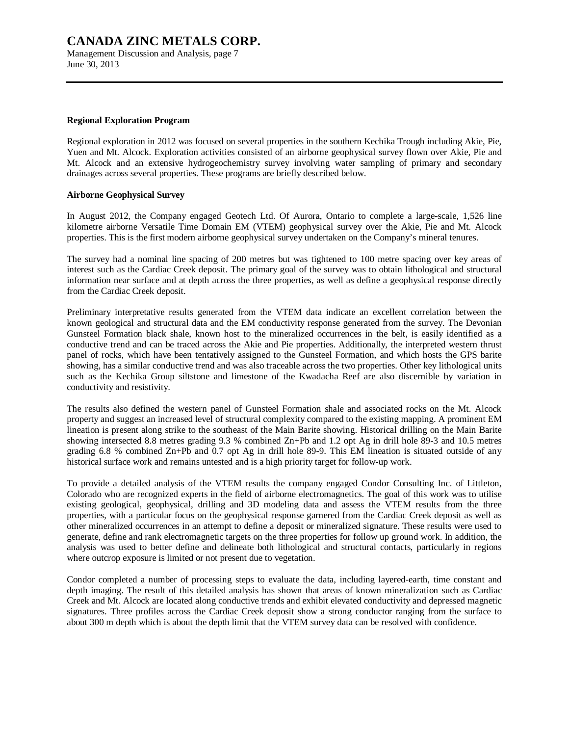Management Discussion and Analysis, page 7 June 30, 2013

#### **Regional Exploration Program**

Regional exploration in 2012 was focused on several properties in the southern Kechika Trough including Akie, Pie, Yuen and Mt. Alcock. Exploration activities consisted of an airborne geophysical survey flown over Akie, Pie and Mt. Alcock and an extensive hydrogeochemistry survey involving water sampling of primary and secondary drainages across several properties. These programs are briefly described below.

#### **Airborne Geophysical Survey**

In August 2012, the Company engaged Geotech Ltd. Of Aurora, Ontario to complete a large-scale, 1,526 line kilometre airborne Versatile Time Domain EM (VTEM) geophysical survey over the Akie, Pie and Mt. Alcock properties. This is the first modern airborne geophysical survey undertaken on the Company's mineral tenures.

The survey had a nominal line spacing of 200 metres but was tightened to 100 metre spacing over key areas of interest such as the Cardiac Creek deposit. The primary goal of the survey was to obtain lithological and structural information near surface and at depth across the three properties, as well as define a geophysical response directly from the Cardiac Creek deposit.

Preliminary interpretative results generated from the VTEM data indicate an excellent correlation between the known geological and structural data and the EM conductivity response generated from the survey. The Devonian Gunsteel Formation black shale, known host to the mineralized occurrences in the belt, is easily identified as a conductive trend and can be traced across the Akie and Pie properties. Additionally, the interpreted western thrust panel of rocks, which have been tentatively assigned to the Gunsteel Formation, and which hosts the GPS barite showing, has a similar conductive trend and was also traceable across the two properties. Other key lithological units such as the Kechika Group siltstone and limestone of the Kwadacha Reef are also discernible by variation in conductivity and resistivity.

The results also defined the western panel of Gunsteel Formation shale and associated rocks on the Mt. Alcock property and suggest an increased level of structural complexity compared to the existing mapping. A prominent EM lineation is present along strike to the southeast of the Main Barite showing. Historical drilling on the Main Barite showing intersected 8.8 metres grading 9.3 % combined Zn+Pb and 1.2 opt Ag in drill hole 89-3 and 10.5 metres grading 6.8 % combined Zn+Pb and 0.7 opt Ag in drill hole 89-9. This EM lineation is situated outside of any historical surface work and remains untested and is a high priority target for follow-up work.

To provide a detailed analysis of the VTEM results the company engaged Condor Consulting Inc. of Littleton, Colorado who are recognized experts in the field of airborne electromagnetics. The goal of this work was to utilise existing geological, geophysical, drilling and 3D modeling data and assess the VTEM results from the three properties, with a particular focus on the geophysical response garnered from the Cardiac Creek deposit as well as other mineralized occurrences in an attempt to define a deposit or mineralized signature. These results were used to generate, define and rank electromagnetic targets on the three properties for follow up ground work. In addition, the analysis was used to better define and delineate both lithological and structural contacts, particularly in regions where outcrop exposure is limited or not present due to vegetation.

Condor completed a number of processing steps to evaluate the data, including layered-earth, time constant and depth imaging. The result of this detailed analysis has shown that areas of known mineralization such as Cardiac Creek and Mt. Alcock are located along conductive trends and exhibit elevated conductivity and depressed magnetic signatures. Three profiles across the Cardiac Creek deposit show a strong conductor ranging from the surface to about 300 m depth which is about the depth limit that the VTEM survey data can be resolved with confidence.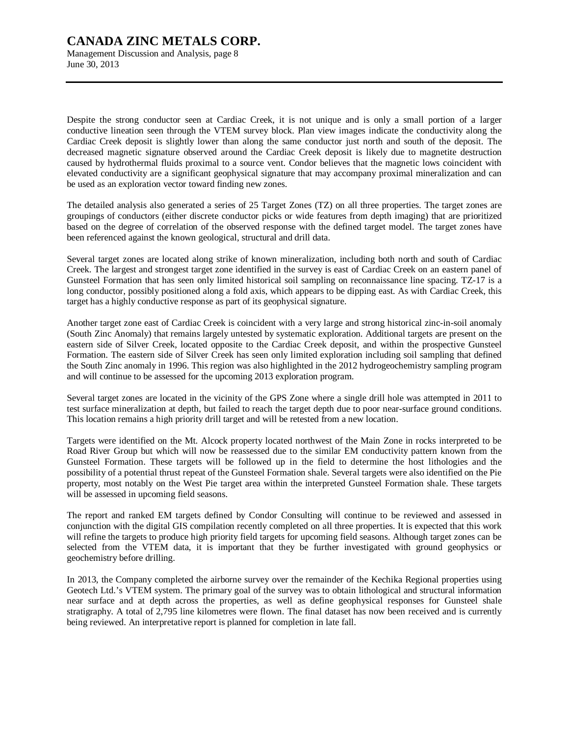Management Discussion and Analysis, page 8 June 30, 2013

Despite the strong conductor seen at Cardiac Creek, it is not unique and is only a small portion of a larger conductive lineation seen through the VTEM survey block. Plan view images indicate the conductivity along the Cardiac Creek deposit is slightly lower than along the same conductor just north and south of the deposit. The decreased magnetic signature observed around the Cardiac Creek deposit is likely due to magnetite destruction caused by hydrothermal fluids proximal to a source vent. Condor believes that the magnetic lows coincident with elevated conductivity are a significant geophysical signature that may accompany proximal mineralization and can be used as an exploration vector toward finding new zones.

The detailed analysis also generated a series of 25 Target Zones (TZ) on all three properties. The target zones are groupings of conductors (either discrete conductor picks or wide features from depth imaging) that are prioritized based on the degree of correlation of the observed response with the defined target model. The target zones have been referenced against the known geological, structural and drill data.

Several target zones are located along strike of known mineralization, including both north and south of Cardiac Creek. The largest and strongest target zone identified in the survey is east of Cardiac Creek on an eastern panel of Gunsteel Formation that has seen only limited historical soil sampling on reconnaissance line spacing. TZ-17 is a long conductor, possibly positioned along a fold axis, which appears to be dipping east. As with Cardiac Creek, this target has a highly conductive response as part of its geophysical signature.

Another target zone east of Cardiac Creek is coincident with a very large and strong historical zinc-in-soil anomaly (South Zinc Anomaly) that remains largely untested by systematic exploration. Additional targets are present on the eastern side of Silver Creek, located opposite to the Cardiac Creek deposit, and within the prospective Gunsteel Formation. The eastern side of Silver Creek has seen only limited exploration including soil sampling that defined the South Zinc anomaly in 1996. This region was also highlighted in the 2012 hydrogeochemistry sampling program and will continue to be assessed for the upcoming 2013 exploration program.

Several target zones are located in the vicinity of the GPS Zone where a single drill hole was attempted in 2011 to test surface mineralization at depth, but failed to reach the target depth due to poor near-surface ground conditions. This location remains a high priority drill target and will be retested from a new location.

Targets were identified on the Mt. Alcock property located northwest of the Main Zone in rocks interpreted to be Road River Group but which will now be reassessed due to the similar EM conductivity pattern known from the Gunsteel Formation. These targets will be followed up in the field to determine the host lithologies and the possibility of a potential thrust repeat of the Gunsteel Formation shale. Several targets were also identified on the Pie property, most notably on the West Pie target area within the interpreted Gunsteel Formation shale. These targets will be assessed in upcoming field seasons.

The report and ranked EM targets defined by Condor Consulting will continue to be reviewed and assessed in conjunction with the digital GIS compilation recently completed on all three properties. It is expected that this work will refine the targets to produce high priority field targets for upcoming field seasons. Although target zones can be selected from the VTEM data, it is important that they be further investigated with ground geophysics or geochemistry before drilling.

In 2013, the Company completed the airborne survey over the remainder of the Kechika Regional properties using Geotech Ltd.'s VTEM system. The primary goal of the survey was to obtain lithological and structural information near surface and at depth across the properties, as well as define geophysical responses for Gunsteel shale stratigraphy. A total of 2,795 line kilometres were flown. The final dataset has now been received and is currently being reviewed. An interpretative report is planned for completion in late fall.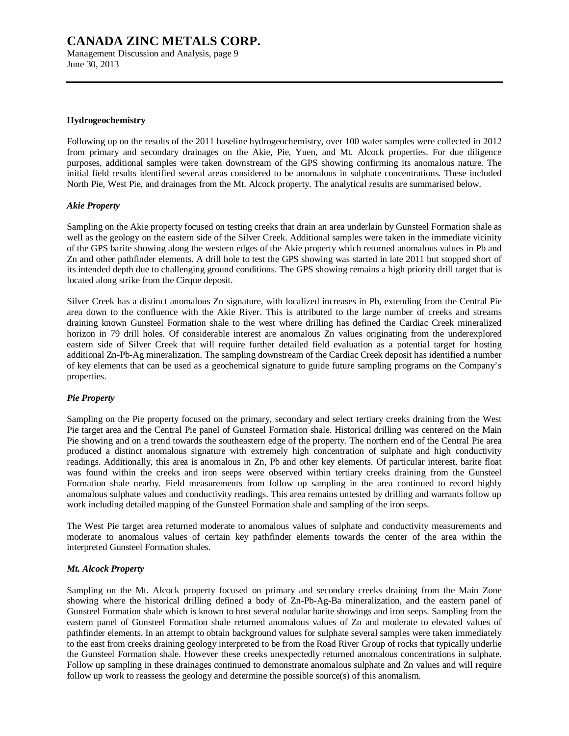Management Discussion and Analysis, page 9 June 30, 2013

#### **Hydrogeochemistry**

Following up on the results of the 2011 baseline hydrogeochemistry, over 100 water samples were collected in 2012 from primary and secondary drainages on the Akie, Pie, Yuen, and Mt. Alcock properties. For due diligence purposes, additional samples were taken downstream of the GPS showing confirming its anomalous nature. The initial field results identified several areas considered to be anomalous in sulphate concentrations. These included North Pie, West Pie, and drainages from the Mt. Alcock property. The analytical results are summarised below.

#### *Akie Property*

Sampling on the Akie property focused on testing creeks that drain an area underlain by Gunsteel Formation shale as well as the geology on the eastern side of the Silver Creek. Additional samples were taken in the immediate vicinity of the GPS barite showing along the western edges of the Akie property which returned anomalous values in Pb and Zn and other pathfinder elements. A drill hole to test the GPS showing was started in late 2011 but stopped short of its intended depth due to challenging ground conditions. The GPS showing remains a high priority drill target that is located along strike from the Cirque deposit.

Silver Creek has a distinct anomalous Zn signature, with localized increases in Pb, extending from the Central Pie area down to the confluence with the Akie River. This is attributed to the large number of creeks and streams draining known Gunsteel Formation shale to the west where drilling has defined the Cardiac Creek mineralized horizon in 79 drill holes. Of considerable interest are anomalous Zn values originating from the underexplored eastern side of Silver Creek that will require further detailed field evaluation as a potential target for hosting additional Zn-Pb-Ag mineralization. The sampling downstream of the Cardiac Creek deposit has identified a number of key elements that can be used as a geochemical signature to guide future sampling programs on the Company's properties.

### *Pie Property*

Sampling on the Pie property focused on the primary, secondary and select tertiary creeks draining from the West Pie target area and the Central Pie panel of Gunsteel Formation shale. Historical drilling was centered on the Main Pie showing and on a trend towards the southeastern edge of the property. The northern end of the Central Pie area produced a distinct anomalous signature with extremely high concentration of sulphate and high conductivity readings. Additionally, this area is anomalous in Zn, Pb and other key elements. Of particular interest, barite float was found within the creeks and iron seeps were observed within tertiary creeks draining from the Gunsteel Formation shale nearby. Field measurements from follow up sampling in the area continued to record highly anomalous sulphate values and conductivity readings. This area remains untested by drilling and warrants follow up work including detailed mapping of the Gunsteel Formation shale and sampling of the iron seeps.

The West Pie target area returned moderate to anomalous values of sulphate and conductivity measurements and moderate to anomalous values of certain key pathfinder elements towards the center of the area within the interpreted Gunsteel Formation shales.

### *Mt. Alcock Property*

Sampling on the Mt. Alcock property focused on primary and secondary creeks draining from the Main Zone showing where the historical drilling defined a body of Zn-Pb-Ag-Ba mineralization, and the eastern panel of Gunsteel Formation shale which is known to host several nodular barite showings and iron seeps. Sampling from the eastern panel of Gunsteel Formation shale returned anomalous values of Zn and moderate to elevated values of pathfinder elements. In an attempt to obtain background values for sulphate several samples were taken immediately to the east from creeks draining geology interpreted to be from the Road River Group of rocks that typically underlie the Gunsteel Formation shale. However these creeks unexpectedly returned anomalous concentrations in sulphate. Follow up sampling in these drainages continued to demonstrate anomalous sulphate and Zn values and will require follow up work to reassess the geology and determine the possible source(s) of this anomalism.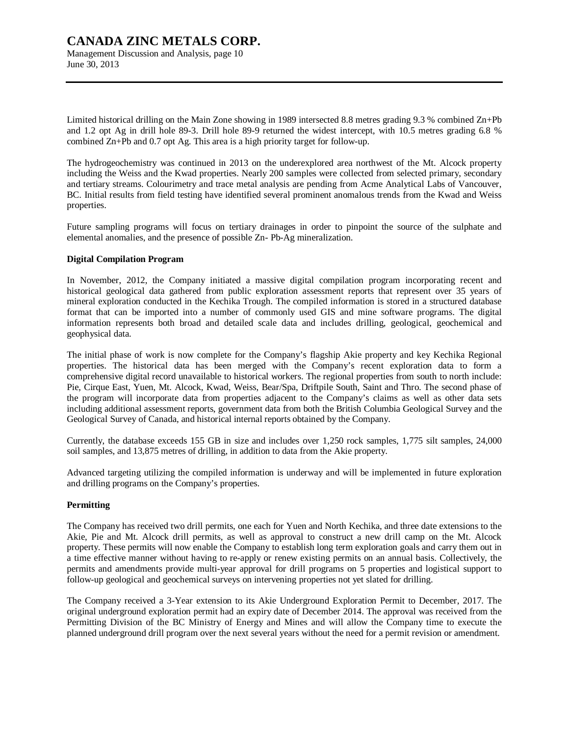Management Discussion and Analysis, page 10 June 30, 2013

Limited historical drilling on the Main Zone showing in 1989 intersected 8.8 metres grading 9.3 % combined Zn+Pb and 1.2 opt Ag in drill hole 89-3. Drill hole 89-9 returned the widest intercept, with 10.5 metres grading 6.8 % combined Zn+Pb and 0.7 opt Ag. This area is a high priority target for follow-up.

The hydrogeochemistry was continued in 2013 on the underexplored area northwest of the Mt. Alcock property including the Weiss and the Kwad properties. Nearly 200 samples were collected from selected primary, secondary and tertiary streams. Colourimetry and trace metal analysis are pending from Acme Analytical Labs of Vancouver, BC. Initial results from field testing have identified several prominent anomalous trends from the Kwad and Weiss properties.

Future sampling programs will focus on tertiary drainages in order to pinpoint the source of the sulphate and elemental anomalies, and the presence of possible Zn- Pb-Ag mineralization.

#### **Digital Compilation Program**

In November, 2012, the Company initiated a massive digital compilation program incorporating recent and historical geological data gathered from public exploration assessment reports that represent over 35 years of mineral exploration conducted in the Kechika Trough. The compiled information is stored in a structured database format that can be imported into a number of commonly used GIS and mine software programs. The digital information represents both broad and detailed scale data and includes drilling, geological, geochemical and geophysical data.

The initial phase of work is now complete for the Company's flagship Akie property and key Kechika Regional properties. The historical data has been merged with the Company's recent exploration data to form a comprehensive digital record unavailable to historical workers. The regional properties from south to north include: Pie, Cirque East, Yuen, Mt. Alcock, Kwad, Weiss, Bear/Spa, Driftpile South, Saint and Thro. The second phase of the program will incorporate data from properties adjacent to the Company's claims as well as other data sets including additional assessment reports, government data from both the British Columbia Geological Survey and the Geological Survey of Canada, and historical internal reports obtained by the Company.

Currently, the database exceeds 155 GB in size and includes over 1,250 rock samples, 1,775 silt samples, 24,000 soil samples, and 13,875 metres of drilling, in addition to data from the Akie property.

Advanced targeting utilizing the compiled information is underway and will be implemented in future exploration and drilling programs on the Company's properties.

### **Permitting**

The Company has received two drill permits, one each for Yuen and North Kechika, and three date extensions to the Akie, Pie and Mt. Alcock drill permits, as well as approval to construct a new drill camp on the Mt. Alcock property. These permits will now enable the Company to establish long term exploration goals and carry them out in a time effective manner without having to re-apply or renew existing permits on an annual basis. Collectively, the permits and amendments provide multi-year approval for drill programs on 5 properties and logistical support to follow-up geological and geochemical surveys on intervening properties not yet slated for drilling.

The Company received a 3-Year extension to its Akie Underground Exploration Permit to December, 2017. The original underground exploration permit had an expiry date of December 2014. The approval was received from the Permitting Division of the BC Ministry of Energy and Mines and will allow the Company time to execute the planned underground drill program over the next several years without the need for a permit revision or amendment.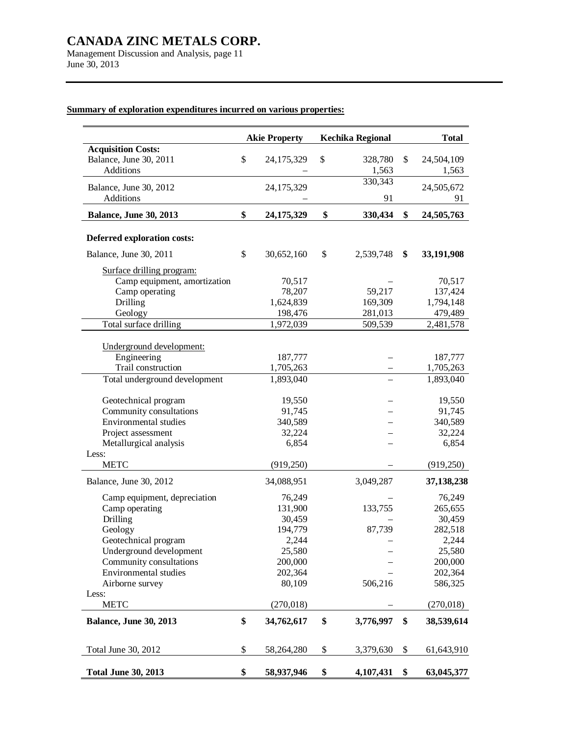Management Discussion and Analysis, page 11 June 30, 2013

# **Summary of exploration expenditures incurred on various properties:**

|                                                                         | <b>Akie Property</b> | <b>Kechika Regional</b> | <b>Total</b>              |
|-------------------------------------------------------------------------|----------------------|-------------------------|---------------------------|
| <b>Acquisition Costs:</b><br>Balance, June 30, 2011<br><b>Additions</b> | \$<br>24,175,329     | \$<br>328,780<br>1,563  | \$<br>24,504,109<br>1,563 |
|                                                                         |                      | 330,343                 |                           |
| Balance, June 30, 2012<br><b>Additions</b>                              | 24,175,329           | 91                      | 24,505,672<br>91          |
| <b>Balance, June 30, 2013</b>                                           | \$<br>24,175,329     | \$<br>330,434           | \$<br>24,505,763          |
| Deferred exploration costs:                                             |                      |                         |                           |
| Balance, June 30, 2011                                                  | \$<br>30,652,160     | \$<br>2,539,748         | \$<br>33,191,908          |
| Surface drilling program:                                               |                      |                         |                           |
| Camp equipment, amortization                                            | 70,517               |                         | 70,517                    |
| Camp operating                                                          | 78,207               | 59,217                  | 137,424                   |
| <b>Drilling</b>                                                         | 1,624,839            | 169,309                 | 1,794,148                 |
| Geology                                                                 | 198,476              | 281,013                 | 479,489                   |
| Total surface drilling                                                  | 1,972,039            | 509,539                 | 2,481,578                 |
|                                                                         |                      |                         |                           |
| Underground development:                                                |                      |                         |                           |
| Engineering                                                             | 187,777              |                         | 187,777                   |
| Trail construction                                                      | 1,705,263            |                         | 1,705,263                 |
| Total underground development                                           | 1,893,040            |                         | 1,893,040                 |
| Geotechnical program                                                    | 19,550               |                         | 19,550                    |
| Community consultations                                                 | 91,745               |                         | 91,745                    |
| Environmental studies                                                   | 340,589              |                         | 340,589                   |
| Project assessment                                                      | 32,224               |                         | 32,224                    |
| Metallurgical analysis                                                  | 6,854                |                         | 6,854                     |
| Less:                                                                   |                      |                         |                           |
| <b>METC</b>                                                             | (919, 250)           |                         | (919, 250)                |
| Balance, June 30, 2012                                                  | 34,088,951           | 3,049,287               | 37,138,238                |
| Camp equipment, depreciation                                            | 76,249               |                         | 76,249                    |
| Camp operating                                                          | 131,900              | 133,755                 | 265,655                   |
| Drilling                                                                | 30,459               |                         | 30,459                    |
| Geology                                                                 | 194,779              | 87,739                  | 282,518                   |
| Geotechnical program                                                    | 2,244                |                         | 2,244                     |
| Underground development                                                 | 25,580               |                         | 25,580                    |
| Community consultations                                                 | 200,000              |                         | 200,000                   |
| Environmental studies                                                   | 202,364              |                         | 202,364                   |
| Airborne survey                                                         | 80,109               | 506,216                 | 586,325                   |
| Less:<br><b>METC</b>                                                    | (270,018)            |                         | (270,018)                 |
| <b>Balance, June 30, 2013</b>                                           | \$<br>34,762,617     | \$<br>3,776,997         | \$<br>38,539,614          |
| Total June 30, 2012                                                     | \$<br>58,264,280     | \$<br>3,379,630         | \$<br>61,643,910          |
| <b>Total June 30, 2013</b>                                              | \$<br>58,937,946     | \$<br>4,107,431         | \$<br>63,045,377          |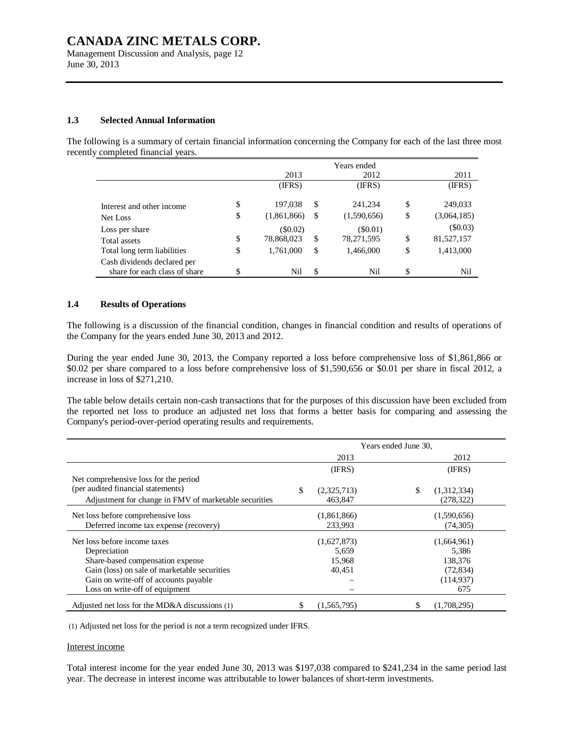Management Discussion and Analysis, page 12 June 30, 2013

#### **1.3 Selected Annual Information**

The following is a summary of certain financial information concerning the Company for each of the last three most recently completed financial years.

|                                                              |    |             |    | Years ended |     |             |
|--------------------------------------------------------------|----|-------------|----|-------------|-----|-------------|
|                                                              |    | 2013        |    | 2012        |     | 2011        |
|                                                              |    | (IFRS)      |    | (IFRS)      |     | (IFRS)      |
| Interest and other income                                    | \$ | 197,038     | \$ | 241,234     | S   | 249,033     |
| Net Loss                                                     | \$ | (1,861,866) | -S | (1,590,656) | \$  | (3,064,185) |
| Loss per share                                               |    | $(\$0.02)$  |    | (S0.01)     |     | (\$0.03)    |
| Total assets                                                 | \$ | 78,868,023  | S. | 78,271,595  | \$  | 81,527,157  |
| Total long term liabilities                                  | \$ | 1,761,000   | \$ | 1,466,000   | \$  | 1,413,000   |
| Cash dividends declared per<br>share for each class of share | S  | Nil         | S. | Nil         | \$. | Nil         |

### **1.4 Results of Operations**

The following is a discussion of the financial condition, changes in financial condition and results of operations of the Company for the years ended June 30, 2013 and 2012.

During the year ended June 30, 2013, the Company reported a loss before comprehensive loss of \$1,861,866 or \$0.02 per share compared to a loss before comprehensive loss of \$1,590,656 or \$0.01 per share in fiscal 2012, a increase in loss of \$271,210.

The table below details certain non-cash transactions that for the purposes of this discussion have been excluded from the reported net loss to produce an adjusted net loss that forms a better basis for comparing and assessing the Company's period-over-period operating results and requirements.

|                                                       |                   | Years ended June 30, |             |
|-------------------------------------------------------|-------------------|----------------------|-------------|
|                                                       | 2013              |                      | 2012        |
|                                                       | (IFRS)            |                      | (IFRS)      |
| Net comprehensive loss for the period                 |                   |                      |             |
| (per audited financial statements)                    | \$<br>(2,325,713) | \$                   | (1,312,334) |
| Adjustment for change in FMV of marketable securities | 463,847           |                      | (278, 322)  |
| Net loss before comprehensive loss                    | (1,861,866)       |                      | (1,590,656) |
| Deferred income tax expense (recovery)                | 233.993           |                      | (74,305)    |
| Net loss before income taxes                          | (1,627,873)       |                      | (1,664,961) |
| Depreciation                                          | 5,659             |                      | 5,386       |
| Share-based compensation expense                      | 15,968            |                      | 138,376     |
| Gain (loss) on sale of marketable securities          | 40,451            |                      | (72, 834)   |
| Gain on write-off of accounts payable                 |                   |                      | (114, 937)  |
| Loss on write-off of equipment                        |                   |                      | 675         |
| Adjusted net loss for the MD&A discussions $(1)$      | (1,565,795)       |                      | (1,708,295) |

(1) Adjusted net loss for the period is not a term recognized under IFRS.

#### Interest income

Total interest income for the year ended June 30, 2013 was \$197,038 compared to \$241,234 in the same period last year. The decrease in interest income was attributable to lower balances of short-term investments.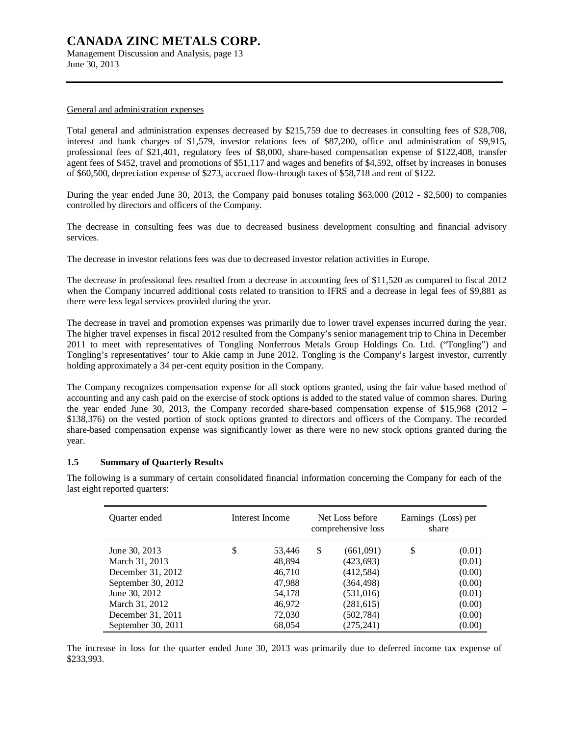Management Discussion and Analysis, page 13 June 30, 2013

#### General and administration expenses

Total general and administration expenses decreased by \$215,759 due to decreases in consulting fees of \$28,708, interest and bank charges of \$1,579, investor relations fees of \$87,200, office and administration of \$9,915, professional fees of \$21,401, regulatory fees of \$8,000, share-based compensation expense of \$122,408, transfer agent fees of \$452, travel and promotions of \$51,117 and wages and benefits of \$4,592, offset by increases in bonuses of \$60,500, depreciation expense of \$273, accrued flow-through taxes of \$58,718 and rent of \$122.

During the year ended June 30, 2013, the Company paid bonuses totaling \$63,000 (2012 - \$2,500) to companies controlled by directors and officers of the Company.

The decrease in consulting fees was due to decreased business development consulting and financial advisory services.

The decrease in investor relations fees was due to decreased investor relation activities in Europe.

The decrease in professional fees resulted from a decrease in accounting fees of \$11,520 as compared to fiscal 2012 when the Company incurred additional costs related to transition to IFRS and a decrease in legal fees of \$9,881 as there were less legal services provided during the year.

The decrease in travel and promotion expenses was primarily due to lower travel expenses incurred during the year. The higher travel expenses in fiscal 2012 resulted from the Company's senior management trip to China in December 2011 to meet with representatives of Tongling Nonferrous Metals Group Holdings Co. Ltd. ("Tongling") and Tongling's representatives' tour to Akie camp in June 2012. Tongling is the Company's largest investor, currently holding approximately a 34 per-cent equity position in the Company.

The Company recognizes compensation expense for all stock options granted, using the fair value based method of accounting and any cash paid on the exercise of stock options is added to the stated value of common shares. During the year ended June 30, 2013, the Company recorded share-based compensation expense of \$15,968 (2012 – \$138,376) on the vested portion of stock options granted to directors and officers of the Company. The recorded share-based compensation expense was significantly lower as there were no new stock options granted during the year.

#### **1.5 Summary of Quarterly Results**

The following is a summary of certain consolidated financial information concerning the Company for each of the last eight reported quarters:

| Quarter ended      | Interest Income |    | Net Loss before<br>comprehensive loss | Earnings (Loss) per<br>share |        |  |
|--------------------|-----------------|----|---------------------------------------|------------------------------|--------|--|
| June 30, 2013      | \$<br>53,446    | \$ | (661,091)                             | \$                           | (0.01) |  |
| March 31, 2013     | 48,894          |    | (423, 693)                            |                              | (0.01) |  |
| December 31, 2012  | 46.710          |    | (412, 584)                            |                              | (0.00) |  |
| September 30, 2012 | 47,988          |    | (364,498)                             |                              | (0.00) |  |
| June 30, 2012      | 54,178          |    | (531,016)                             |                              | (0.01) |  |
| March 31, 2012     | 46,972          |    | (281, 615)                            |                              | (0.00) |  |
| December 31, 2011  | 72,030          |    | (502, 784)                            |                              | (0.00) |  |
| September 30, 2011 | 68,054          |    | (275, 241)                            |                              | (0.00) |  |

The increase in loss for the quarter ended June 30, 2013 was primarily due to deferred income tax expense of \$233,993.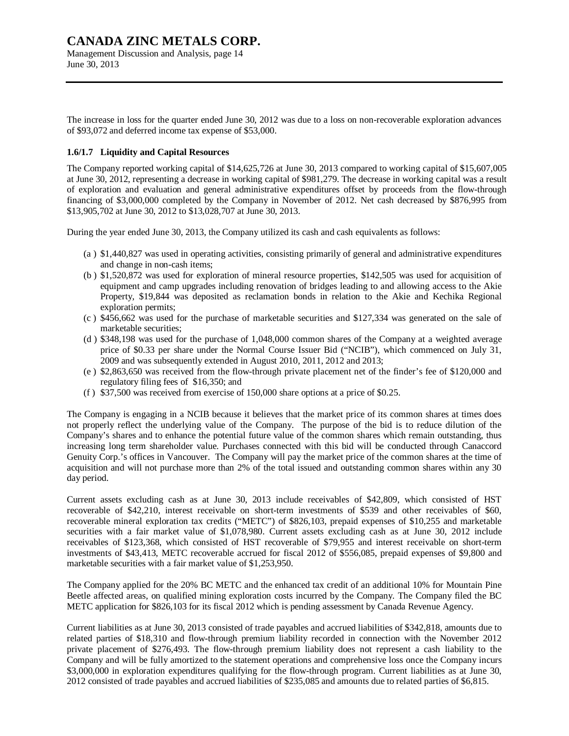Management Discussion and Analysis, page 14 June 30, 2013

The increase in loss for the quarter ended June 30, 2012 was due to a loss on non-recoverable exploration advances of \$93,072 and deferred income tax expense of \$53,000.

### **1.6/1.7 Liquidity and Capital Resources**

The Company reported working capital of \$14,625,726 at June 30, 2013 compared to working capital of \$15,607,005 at June 30, 2012, representing a decrease in working capital of \$981,279. The decrease in working capital was a result of exploration and evaluation and general administrative expenditures offset by proceeds from the flow-through financing of \$3,000,000 completed by the Company in November of 2012. Net cash decreased by \$876,995 from \$13,905,702 at June 30, 2012 to \$13,028,707 at June 30, 2013.

During the year ended June 30, 2013, the Company utilized its cash and cash equivalents as follows:

- (a ) \$1,440,827 was used in operating activities, consisting primarily of general and administrative expenditures and change in non-cash items;
- (b ) \$1,520,872 was used for exploration of mineral resource properties, \$142,505 was used for acquisition of equipment and camp upgrades including renovation of bridges leading to and allowing access to the Akie Property, \$19,844 was deposited as reclamation bonds in relation to the Akie and Kechika Regional exploration permits;
- (c ) \$456,662 was used for the purchase of marketable securities and \$127,334 was generated on the sale of marketable securities;
- (d ) \$348,198 was used for the purchase of 1,048,000 common shares of the Company at a weighted average price of \$0.33 per share under the Normal Course Issuer Bid ("NCIB"), which commenced on July 31, 2009 and was subsequently extended in August 2010, 2011, 2012 and 2013;
- (e ) \$2,863,650 was received from the flow-through private placement net of the finder's fee of \$120,000 and regulatory filing fees of \$16,350; and
- (f ) \$37,500 was received from exercise of 150,000 share options at a price of \$0.25.

The Company is engaging in a NCIB because it believes that the market price of its common shares at times does not properly reflect the underlying value of the Company. The purpose of the bid is to reduce dilution of the Company's shares and to enhance the potential future value of the common shares which remain outstanding, thus increasing long term shareholder value. Purchases connected with this bid will be conducted through Canaccord Genuity Corp.'s offices in Vancouver. The Company will pay the market price of the common shares at the time of acquisition and will not purchase more than 2% of the total issued and outstanding common shares within any 30 day period.

Current assets excluding cash as at June 30, 2013 include receivables of \$42,809, which consisted of HST recoverable of \$42,210, interest receivable on short-term investments of \$539 and other receivables of \$60, recoverable mineral exploration tax credits ("METC") of \$826,103, prepaid expenses of \$10,255 and marketable securities with a fair market value of \$1,078,980. Current assets excluding cash as at June 30, 2012 include receivables of \$123,368, which consisted of HST recoverable of \$79,955 and interest receivable on short-term investments of \$43,413, METC recoverable accrued for fiscal 2012 of \$556,085, prepaid expenses of \$9,800 and marketable securities with a fair market value of \$1,253,950.

The Company applied for the 20% BC METC and the enhanced tax credit of an additional 10% for Mountain Pine Beetle affected areas, on qualified mining exploration costs incurred by the Company. The Company filed the BC METC application for \$826,103 for its fiscal 2012 which is pending assessment by Canada Revenue Agency.

Current liabilities as at June 30, 2013 consisted of trade payables and accrued liabilities of \$342,818, amounts due to related parties of \$18,310 and flow-through premium liability recorded in connection with the November 2012 private placement of \$276,493. The flow-through premium liability does not represent a cash liability to the Company and will be fully amortized to the statement operations and comprehensive loss once the Company incurs \$3,000,000 in exploration expenditures qualifying for the flow-through program. Current liabilities as at June 30, 2012 consisted of trade payables and accrued liabilities of \$235,085 and amounts due to related parties of \$6,815.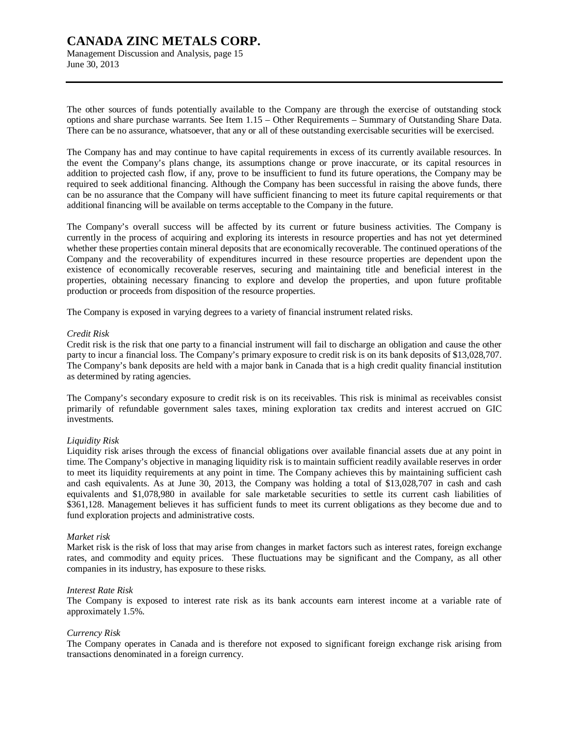Management Discussion and Analysis, page 15 June 30, 2013

The other sources of funds potentially available to the Company are through the exercise of outstanding stock options and share purchase warrants. See Item 1.15 – Other Requirements – Summary of Outstanding Share Data. There can be no assurance, whatsoever, that any or all of these outstanding exercisable securities will be exercised.

The Company has and may continue to have capital requirements in excess of its currently available resources. In the event the Company's plans change, its assumptions change or prove inaccurate, or its capital resources in addition to projected cash flow, if any, prove to be insufficient to fund its future operations, the Company may be required to seek additional financing. Although the Company has been successful in raising the above funds, there can be no assurance that the Company will have sufficient financing to meet its future capital requirements or that additional financing will be available on terms acceptable to the Company in the future.

The Company's overall success will be affected by its current or future business activities. The Company is currently in the process of acquiring and exploring its interests in resource properties and has not yet determined whether these properties contain mineral deposits that are economically recoverable. The continued operations of the Company and the recoverability of expenditures incurred in these resource properties are dependent upon the existence of economically recoverable reserves, securing and maintaining title and beneficial interest in the properties, obtaining necessary financing to explore and develop the properties, and upon future profitable production or proceeds from disposition of the resource properties.

The Company is exposed in varying degrees to a variety of financial instrument related risks.

#### *Credit Risk*

Credit risk is the risk that one party to a financial instrument will fail to discharge an obligation and cause the other party to incur a financial loss. The Company's primary exposure to credit risk is on its bank deposits of \$13,028,707. The Company's bank deposits are held with a major bank in Canada that is a high credit quality financial institution as determined by rating agencies.

The Company's secondary exposure to credit risk is on its receivables. This risk is minimal as receivables consist primarily of refundable government sales taxes, mining exploration tax credits and interest accrued on GIC investments.

#### *Liquidity Risk*

Liquidity risk arises through the excess of financial obligations over available financial assets due at any point in time. The Company's objective in managing liquidity risk is to maintain sufficient readily available reserves in order to meet its liquidity requirements at any point in time. The Company achieves this by maintaining sufficient cash and cash equivalents. As at June 30, 2013, the Company was holding a total of \$13,028,707 in cash and cash equivalents and \$1,078,980 in available for sale marketable securities to settle its current cash liabilities of \$361,128. Management believes it has sufficient funds to meet its current obligations as they become due and to fund exploration projects and administrative costs.

#### *Market risk*

Market risk is the risk of loss that may arise from changes in market factors such as interest rates, foreign exchange rates, and commodity and equity prices. These fluctuations may be significant and the Company, as all other companies in its industry, has exposure to these risks.

#### *Interest Rate Risk*

The Company is exposed to interest rate risk as its bank accounts earn interest income at a variable rate of approximately 1.5%.

#### *Currency Risk*

The Company operates in Canada and is therefore not exposed to significant foreign exchange risk arising from transactions denominated in a foreign currency.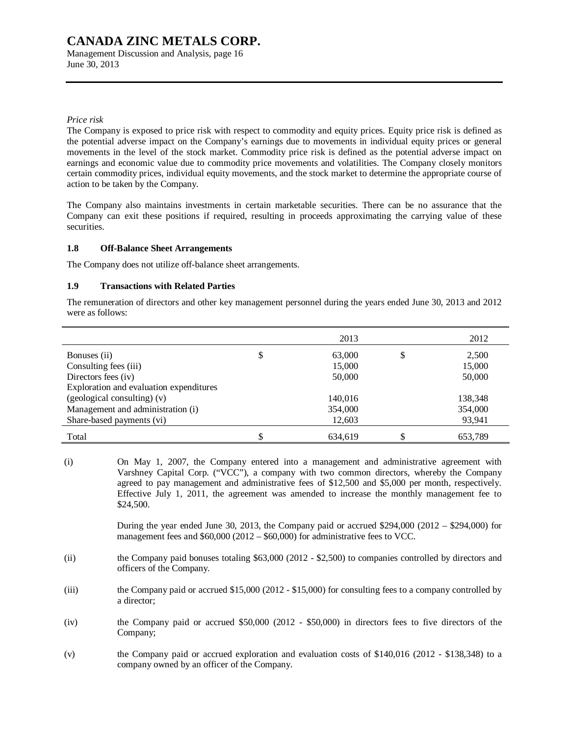Management Discussion and Analysis, page 16 June 30, 2013

### *Price risk*

The Company is exposed to price risk with respect to commodity and equity prices. Equity price risk is defined as the potential adverse impact on the Company's earnings due to movements in individual equity prices or general movements in the level of the stock market. Commodity price risk is defined as the potential adverse impact on earnings and economic value due to commodity price movements and volatilities. The Company closely monitors certain commodity prices, individual equity movements, and the stock market to determine the appropriate course of action to be taken by the Company.

The Company also maintains investments in certain marketable securities. There can be no assurance that the Company can exit these positions if required, resulting in proceeds approximating the carrying value of these securities.

#### **1.8 Off-Balance Sheet Arrangements**

The Company does not utilize off-balance sheet arrangements.

### **1.9 Transactions with Related Parties**

The remuneration of directors and other key management personnel during the years ended June 30, 2013 and 2012 were as follows:

|                                         | 2013    | 2012    |
|-----------------------------------------|---------|---------|
| Bonuses (ii)                            | 63,000  | 2,500   |
| Consulting fees (iii)                   | 15,000  | 15,000  |
| Directors fees (iv)                     | 50,000  | 50,000  |
| Exploration and evaluation expenditures |         |         |
| $(gedogical consulting)$ (v)            | 140,016 | 138,348 |
| Management and administration (i)       | 354,000 | 354,000 |
| Share-based payments (vi)               | 12,603  | 93,941  |
| Total                                   | 634.619 | 653.789 |

(i) On May 1, 2007, the Company entered into a management and administrative agreement with Varshney Capital Corp. ("VCC"), a company with two common directors, whereby the Company agreed to pay management and administrative fees of \$12,500 and \$5,000 per month, respectively. Effective July 1, 2011, the agreement was amended to increase the monthly management fee to \$24,500.

> During the year ended June 30, 2013, the Company paid or accrued \$294,000 (2012 – \$294,000) for management fees and \$60,000 (2012 – \$60,000) for administrative fees to VCC.

- (ii) the Company paid bonuses totaling \$63,000 (2012 \$2,500) to companies controlled by directors and officers of the Company.
- (iii) the Company paid or accrued \$15,000 (2012 \$15,000) for consulting fees to a company controlled by a director;
- (iv) the Company paid or accrued \$50,000 (2012 \$50,000) in directors fees to five directors of the Company;
- (v) the Company paid or accrued exploration and evaluation costs of \$140,016 (2012 \$138,348) to a company owned by an officer of the Company.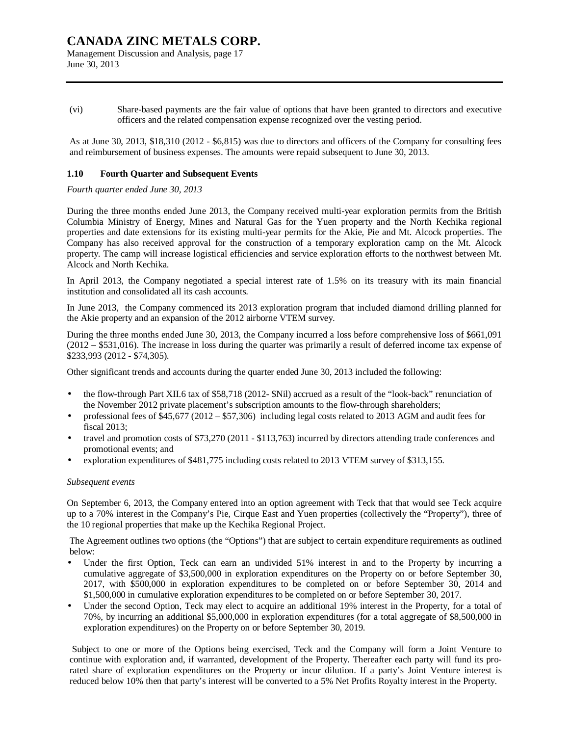Management Discussion and Analysis, page 17 June 30, 2013

(vi) Share-based payments are the fair value of options that have been granted to directors and executive officers and the related compensation expense recognized over the vesting period.

As at June 30, 2013, \$18,310 (2012 - \$6,815) was due to directors and officers of the Company for consulting fees and reimbursement of business expenses. The amounts were repaid subsequent to June 30, 2013.

### **1.10 Fourth Quarter and Subsequent Events**

*Fourth quarter ended June 30, 2013* 

During the three months ended June 2013, the Company received multi-year exploration permits from the British Columbia Ministry of Energy, Mines and Natural Gas for the Yuen property and the North Kechika regional properties and date extensions for its existing multi-year permits for the Akie, Pie and Mt. Alcock properties. The Company has also received approval for the construction of a temporary exploration camp on the Mt. Alcock property. The camp will increase logistical efficiencies and service exploration efforts to the northwest between Mt. Alcock and North Kechika.

In April 2013, the Company negotiated a special interest rate of 1.5% on its treasury with its main financial institution and consolidated all its cash accounts.

In June 2013, the Company commenced its 2013 exploration program that included diamond drilling planned for the Akie property and an expansion of the 2012 airborne VTEM survey.

During the three months ended June 30, 2013, the Company incurred a loss before comprehensive loss of \$661,091 (2012 – \$531,016). The increase in loss during the quarter was primarily a result of deferred income tax expense of \$233,993 (2012 - \$74,305).

Other significant trends and accounts during the quarter ended June 30, 2013 included the following:

- the flow-through Part XII.6 tax of \$58,718 (2012- \$Nil) accrued as a result of the "look-back" renunciation of the November 2012 private placement's subscription amounts to the flow-through shareholders;
- professional fees of \$45,677 (2012 \$57,306) including legal costs related to 2013 AGM and audit fees for fiscal 2013;
- travel and promotion costs of \$73,270 (2011 \$113,763) incurred by directors attending trade conferences and promotional events; and
- exploration expenditures of \$481,775 including costs related to 2013 VTEM survey of \$313,155.

#### *Subsequent events*

On September 6, 2013, the Company entered into an option agreement with Teck that that would see Teck acquire up to a 70% interest in the Company's Pie, Cirque East and Yuen properties (collectively the "Property"), three of the 10 regional properties that make up the Kechika Regional Project.

The Agreement outlines two options (the "Options") that are subject to certain expenditure requirements as outlined below:

- Under the first Option, Teck can earn an undivided 51% interest in and to the Property by incurring a cumulative aggregate of \$3,500,000 in exploration expenditures on the Property on or before September 30, 2017, with \$500,000 in exploration expenditures to be completed on or before September 30, 2014 and \$1,500,000 in cumulative exploration expenditures to be completed on or before September 30, 2017.
- Under the second Option, Teck may elect to acquire an additional 19% interest in the Property, for a total of 70%, by incurring an additional \$5,000,000 in exploration expenditures (for a total aggregate of \$8,500,000 in exploration expenditures) on the Property on or before September 30, 2019.

Subject to one or more of the Options being exercised, Teck and the Company will form a Joint Venture to continue with exploration and, if warranted, development of the Property. Thereafter each party will fund its prorated share of exploration expenditures on the Property or incur dilution. If a party's Joint Venture interest is reduced below 10% then that party's interest will be converted to a 5% Net Profits Royalty interest in the Property.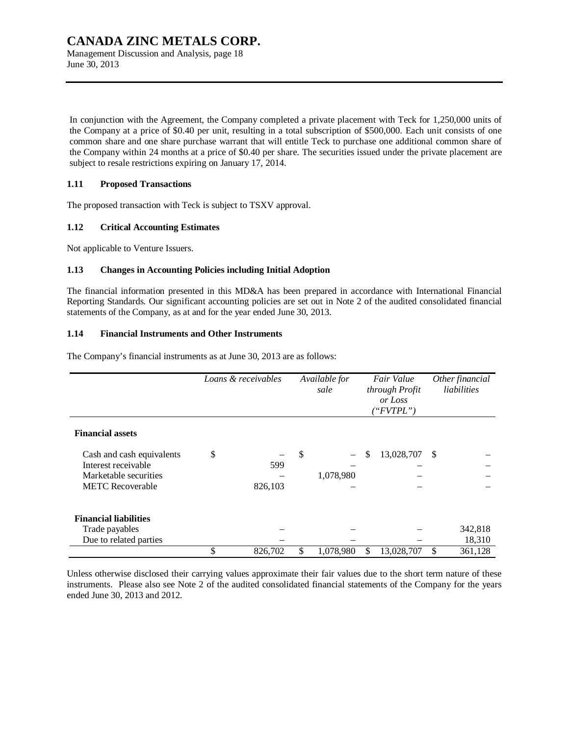Management Discussion and Analysis, page 18 June 30, 2013

In conjunction with the Agreement, the Company completed a private placement with Teck for 1,250,000 units of the Company at a price of \$0.40 per unit, resulting in a total subscription of \$500,000. Each unit consists of one common share and one share purchase warrant that will entitle Teck to purchase one additional common share of the Company within 24 months at a price of \$0.40 per share. The securities issued under the private placement are subject to resale restrictions expiring on January 17, 2014.

### **1.11 Proposed Transactions**

The proposed transaction with Teck is subject to TSXV approval.

# **1.12 Critical Accounting Estimates**

Not applicable to Venture Issuers.

# **1.13 Changes in Accounting Policies including Initial Adoption**

The financial information presented in this MD&A has been prepared in accordance with International Financial Reporting Standards. Our significant accounting policies are set out in Note 2 of the audited consolidated financial statements of the Company, as at and for the year ended June 30, 2013.

# **1.14 Financial Instruments and Other Instruments**

The Company's financial instruments as at June 30, 2013 are as follows:

|                                                                                                      | Loans & receivables |                | Available for<br>sale |     | Fair Value<br>through Profit<br>or Loss<br>("FVTPL") |      | Other financial<br>liabilities |
|------------------------------------------------------------------------------------------------------|---------------------|----------------|-----------------------|-----|------------------------------------------------------|------|--------------------------------|
| <b>Financial assets</b>                                                                              |                     |                |                       |     |                                                      |      |                                |
| Cash and cash equivalents<br>Interest receivable<br>Marketable securities<br><b>METC Recoverable</b> | \$                  | 599<br>826,103 | \$<br>1,078,980       | \$  | 13,028,707                                           | - \$ |                                |
| <b>Financial liabilities</b><br>Trade payables<br>Due to related parties                             |                     |                |                       |     |                                                      |      | 342,818<br>18,310              |
|                                                                                                      | \$                  | 826,702        | \$<br>1,078,980       | \$. | 13,028,707                                           | \$   | 361,128                        |

Unless otherwise disclosed their carrying values approximate their fair values due to the short term nature of these instruments. Please also see Note 2 of the audited consolidated financial statements of the Company for the years ended June 30, 2013 and 2012.